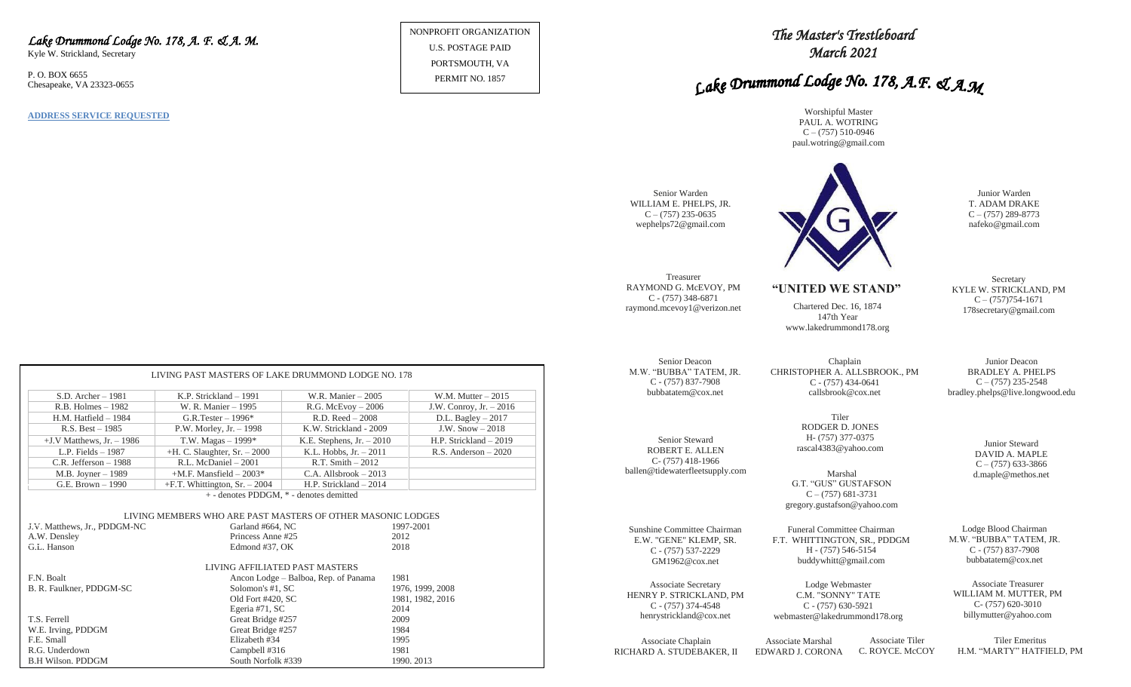#### *Lake Drummond Lodge No. 178, A. F. & A. M.*

Kyle W. Strickland, Secretary

P. O. BOX 6655 Chesapeake, VA 23323-0655

**ADDRESS SERVICE REQUESTED**

NONPROFIT ORGANIZATION U.S. POSTAGE PAID PORTSMOUTH, VA PERMIT NO. 1857

### *The Master's Trestleboard March 2021*

# Lake Drummond Lodge No. 178, A.F. & A.M

Worshipful Master PAUL A. WOTRING  $C - (757)$  510-0946 paul.wotring@gmail.com



Junior Warden T. ADAM DRAKE  $C - (757) 289 - 8773$ nafeko@gmail.com

**Secretary** KYLE W. STRICKLAND, PM  $C - (757)754-1671$ 178secretary@gmail.com

Junior Deacon BRADLEY A. PHELPS  $C - (757)$  235-2548 bradley.phelps@live.longwood.edu

> Junior Steward DAVID A. MAPLE  $C - (757)$  633-3866

Lodge Blood Chairman M.W. "BUBBA" TATEM, JR. C - (757) 837-7908 bubbatatem@cox.net

Associate Treasurer WILLIAM M. MUTTER, PM C- (757) 620-3010 billymutter@yahoo.com

Associate Chaplain RICHARD A. STUDEBAKER, II

GM1962@cox.net

Associate Secretary HENRY P. STRICKLAND, PM C - (757) 374-4548 henrystrickland@cox.net

> Associate Marshal EDWARD J. CORONA Associate Tiler C. ROYCE. McCOY

buddywhitt@gmail.com

Lodge Webmaster C.M. "SONNY" TATE C - (757) 630-5921 webmaster@lakedrummond178.org

> Tiler Emeritus H.M. "MARTY" HATFIELD, PM

|                                                             | LIVING PAST MASTERS OF LAKE DRUMMOND LODGE NO. 178                                                                     |                                         |                           |  |  |  |  |
|-------------------------------------------------------------|------------------------------------------------------------------------------------------------------------------------|-----------------------------------------|---------------------------|--|--|--|--|
| $S.D.$ Archer $-1981$                                       | K.P. Strickland - 1991                                                                                                 | W.R. Manier $-2005$                     | W.M. Mutter $-2015$       |  |  |  |  |
| $R.B.$ Holmes $-1982$                                       | W. R. Manier - 1995                                                                                                    | $R.G.$ McEvoy $-2006$                   | J.W. Conroy, Jr. - 2016   |  |  |  |  |
| $H.M.$ Hatfield $-1984$                                     | G.R.Tester $-1996*$                                                                                                    | $R.D. Reed - 2008$                      | D.L. Bagley $-2017$       |  |  |  |  |
| $R.S. Best - 1985$                                          | $P.W.$ Morley, Jr. $-1998$                                                                                             | K.W. Strickland - 2009                  | J.W. $Show-2018$          |  |  |  |  |
| $+J.V$ Matthews, Jr. $-1986$                                | T.W. Magas $-1999*$                                                                                                    | K.E. Stephens, $Jr. - 2010$             | H.P. Strickland - 2019    |  |  |  |  |
| L.P. Fields $-1987$                                         | $+H$ . C. Slaughter, Sr. $-2000$                                                                                       | K.L. Hobbs, $Jr. - 2011$                | R.S. Anderson $-2020$     |  |  |  |  |
| $C.R.$ Jefferson $-1988$                                    | R.L. McDaniel - 2001                                                                                                   | $R.T. Smith - 2012$                     |                           |  |  |  |  |
| $M.B.$ Joyner $-1989$                                       | $+M.F.$ Mansfield $-2003*$                                                                                             | $C.A.$ Allsbrook $-2013$                |                           |  |  |  |  |
| G.E. Brown - 1990                                           | $+F.T.$ Whittington, Sr. $-2004$                                                                                       | H.P. Strickland - 2014                  |                           |  |  |  |  |
| J.V. Matthews, Jr., PDDGM-NC<br>A.W. Densley<br>G.L. Hanson | LIVING MEMBERS WHO ARE PAST MASTERS OF OTHER MASONIC LODGES<br>Garland #664, NC<br>Princess Anne #25<br>Edmond #37, OK | + - denotes PDDGM, * - denotes demitted | 1997-2001<br>2012<br>2018 |  |  |  |  |
| LIVING AFFILIATED PAST MASTERS                              |                                                                                                                        |                                         |                           |  |  |  |  |
| F.N. Boalt                                                  |                                                                                                                        | Ancon Lodge – Balboa, Rep. of Panama    | 1981                      |  |  |  |  |
| B. R. Faulkner, PDDGM-SC                                    | Solomon's #1, SC                                                                                                       |                                         | 1976, 1999, 2008          |  |  |  |  |
|                                                             | Old Fort #420, SC                                                                                                      |                                         | 1981, 1982, 2016          |  |  |  |  |
|                                                             | Egeria #71, SC                                                                                                         |                                         | 2014                      |  |  |  |  |
| T.S. Ferrell                                                | Great Bridge #257                                                                                                      |                                         | 2009                      |  |  |  |  |
| W.E. Irving, PDDGM<br>F.E. Small                            | Great Bridge #257                                                                                                      |                                         | 1984<br>1995              |  |  |  |  |
| R.G. Underdown                                              | Elizabeth #34<br>Campbell #316                                                                                         |                                         | 1981                      |  |  |  |  |
| <b>B.H Wilson, PDDGM</b>                                    | South Norfolk #339                                                                                                     |                                         | 1990.2013                 |  |  |  |  |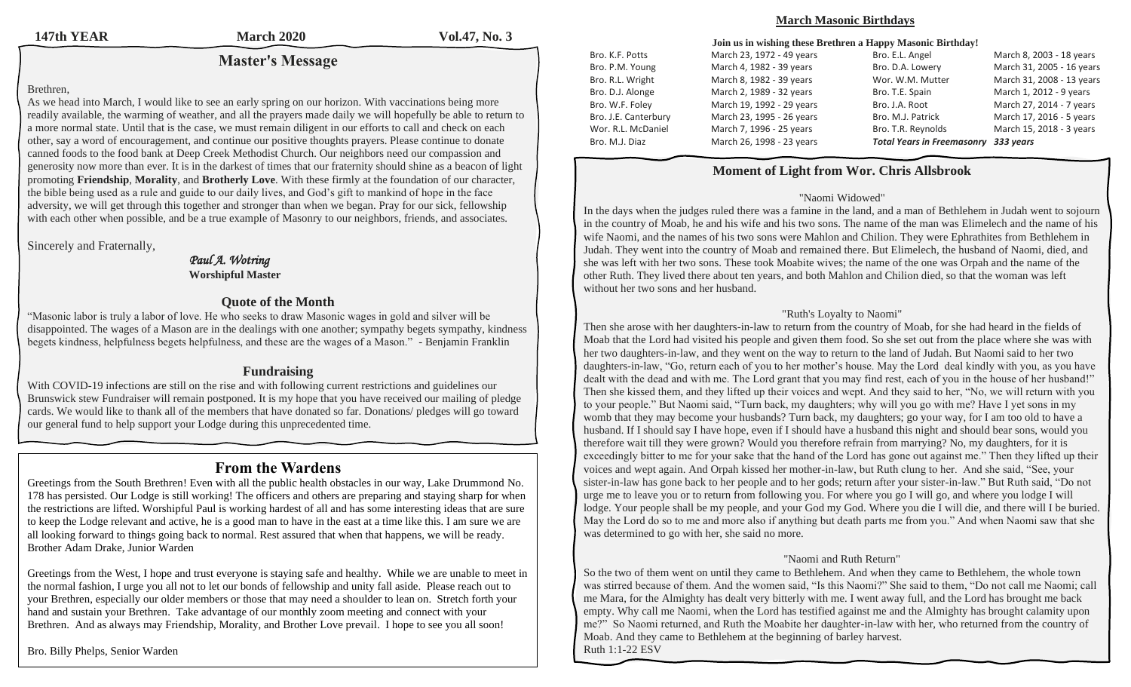**147th YEAR March 2020 Vol.47, No. 3**

### **Master's Message**

#### Brethren,

As we head into March, I would like to see an early spring on our horizon. With vaccinations being more readily available, the warming of weather, and all the prayers made daily we will hopefully be able to return to a more normal state. Until that is the case, we must remain diligent in our efforts to call and check on each other, say a word of encouragement, and continue our positive thoughts prayers. Please continue to donate canned foods to the food bank at Deep Creek Methodist Church. Our neighbors need our compassion and generosity now more than ever. It is in the darkest of times that our fraternity should shine as a beacon of light promoting **Friendship**, **Morality**, and **Brotherly Love**. With these firmly at the foundation of our character, the bible being used as a rule and guide to our daily lives, and God's gift to mankind of hope in the face adversity, we will get through this together and stronger than when we began. Pray for our sick, fellowship with each other when possible, and be a true example of Masonry to our neighbors, friends, and associates.

Sincerely and Fraternally,

#### *Paul A. Wotring*  **Worshipful Master**

#### **Quote of the Month**

"Masonic labor is truly a labor of love. He who seeks to draw Masonic wages in gold and silver will be disappointed. The wages of a Mason are in the dealings with one another; sympathy begets sympathy, kindness begets kindness, helpfulness begets helpfulness, and these are the wages of a Mason." - Benjamin Franklin

### **Fundraising**

With COVID-19 infections are still on the rise and with following current restrictions and guidelines our Brunswick stew Fundraiser will remain postponed. It is my hope that you have received our mailing of pledge cards. We would like to thank all of the members that have donated so far. Donations/ pledges will go toward our general fund to help support your Lodge during this unprecedented time.

### **From the Wardens**

Greetings from the South Brethren! Even with all the public health obstacles in our way, Lake Drummond No. 178 has persisted. Our Lodge is still working! The officers and others are preparing and staying sharp for when the restrictions are lifted. Worshipful Paul is working hardest of all and has some interesting ideas that are sure to keep the Lodge relevant and active, he is a good man to have in the east at a time like this. I am sure we are all looking forward to things going back to normal. Rest assured that when that happens, we will be ready. Brother Adam Drake, Junior Warden

Greetings from the West, I hope and trust everyone is staying safe and healthy. While we are unable to meet in the normal fashion, I urge you all not to let our bonds of fellowship and unity fall aside. Please reach out to your Brethren, especially our older members or those that may need a shoulder to lean on. Stretch forth your hand and sustain your Brethren. Take advantage of our monthly zoom meeting and connect with your Brethren. And as always may Friendship, Morality, and Brother Love prevail. I hope to see you all soon!

Bro. Billy Phelps, Senior Warden

#### **March Masonic Birthdays**

| Join us in wishing these Brethren a Happy Masonic Birthday! |                           |                                   |                           |  |  |
|-------------------------------------------------------------|---------------------------|-----------------------------------|---------------------------|--|--|
| Bro. K.F. Potts                                             | March 23, 1972 - 49 years | Bro. E.L. Angel                   | March 8, 2003 - 18 years  |  |  |
| Bro. P.M. Young                                             | March 4, 1982 - 39 years  | Bro. D.A. Lowery                  | March 31, 2005 - 16 years |  |  |
| Bro. R.L. Wright                                            | March 8, 1982 - 39 years  | Wor. W.M. Mutter                  | March 31, 2008 - 13 years |  |  |
| Bro. D.J. Alonge                                            | March 2, 1989 - 32 years  | Bro. T.E. Spain                   | March 1, 2012 - 9 years   |  |  |
| Bro. W.F. Foley                                             | March 19, 1992 - 29 years | Bro. J.A. Root                    | March 27, 2014 - 7 years  |  |  |
| Bro. J.E. Canterbury                                        | March 23, 1995 - 26 years | Bro. M.J. Patrick                 | March 17, 2016 - 5 years  |  |  |
| Wor. R.L. McDaniel                                          | March 7, 1996 - 25 years  | Bro. T.R. Reynolds                | March 15, 2018 - 3 years  |  |  |
| Bro. M.J. Diaz                                              | March 26, 1998 - 23 years | <b>Total Years in Freemasonry</b> | 333 years                 |  |  |

### **Moment of Light from Wor. Chris Allsbrook**

#### "Naomi Widowed"

In the days when the judges ruled there was a famine in the land, and a man of Bethlehem in Judah went to sojourn in the country of Moab, he and his wife and his two sons. The name of the man was Elimelech and the name of his wife Naomi, and the names of his two sons were Mahlon and Chilion. They were Ephrathites from Bethlehem in Judah. They went into the country of Moab and remained there. But Elimelech, the husband of Naomi, died, and she was left with her two sons. These took Moabite wives; the name of the one was Orpah and the name of the other Ruth. They lived there about ten years, and both Mahlon and Chilion died, so that the woman was left without her two sons and her husband.

#### "Ruth's Loyalty to Naomi"

Then she arose with her daughters-in-law to return from the country of Moab, for she had heard in the fields of Moab that the Lord had visited his people and given them food. So she set out from the place where she was with her two daughters-in-law, and they went on the way to return to the land of Judah. But Naomi said to her two daughters-in-law, "Go, return each of you to her mother's house. May the Lord deal kindly with you, as you have dealt with the dead and with me. The Lord grant that you may find rest, each of you in the house of her husband!" Then she kissed them, and they lifted up their voices and wept. And they said to her, "No, we will return with you to your people." But Naomi said, "Turn back, my daughters; why will you go with me? Have I yet sons in my womb that they may become your husbands? Turn back, my daughters; go your way, for I am too old to have a husband. If I should say I have hope, even if I should have a husband this night and should bear sons, would you therefore wait till they were grown? Would you therefore refrain from marrying? No, my daughters, for it is exceedingly bitter to me for your sake that the hand of the Lord has gone out against me." Then they lifted up their voices and wept again. And Orpah kissed her mother-in-law, but Ruth clung to her. And she said, "See, your sister-in-law has gone back to her people and to her gods; return after your sister-in-law." But Ruth said, "Do not urge me to leave you or to return from following you. For where you go I will go, and where you lodge I will lodge. Your people shall be my people, and your God my God. Where you die I will die, and there will I be buried. May the Lord do so to me and more also if anything but death parts me from you." And when Naomi saw that she was determined to go with her, she said no more.

#### "Naomi and Ruth Return"

So the two of them went on until they came to Bethlehem. And when they came to Bethlehem, the whole town was stirred because of them. And the women said, "Is this Naomi?" She said to them, "Do not call me Naomi; call me Mara, for the Almighty has dealt very bitterly with me. I went away full, and the Lord has brought me back empty. Why call me Naomi, when the Lord has testified against me and the Almighty has brought calamity upon me?" So Naomi returned, and Ruth the Moabite her daughter-in-law with her, who returned from the country of Moab. And they came to Bethlehem at the beginning of barley harvest. Ruth 1:1-22 ESV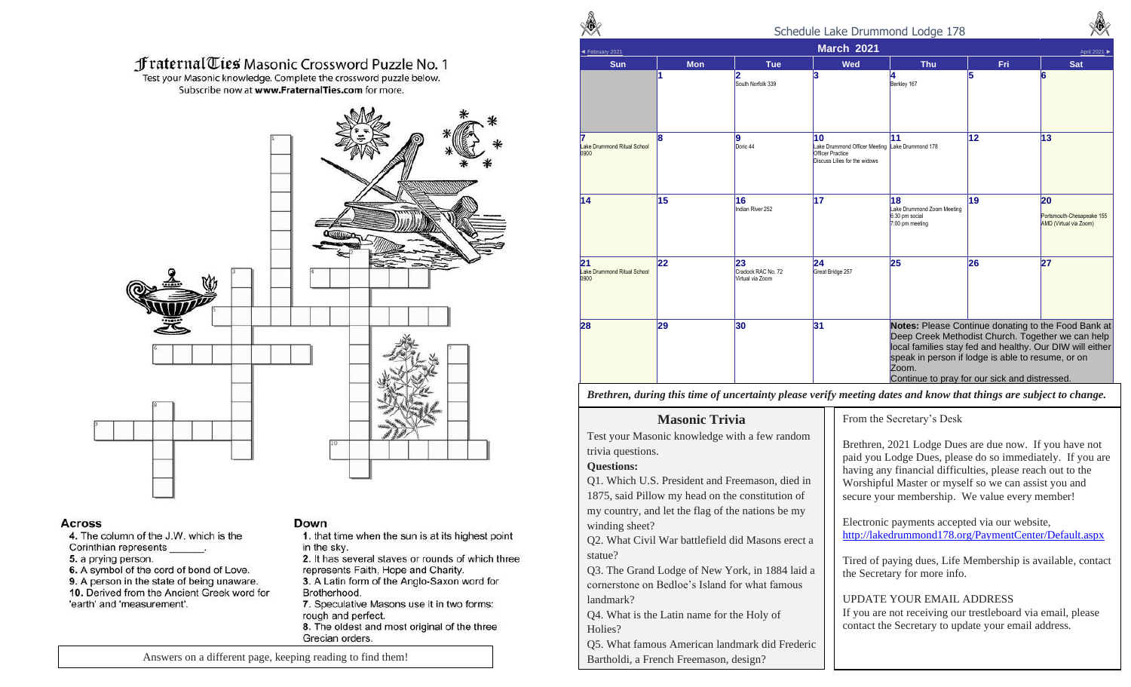### **f raternal Ties Masonic Crossword Puzzle No. 1**

Test your Masonic knowledge. Complete the crossword puzzle below. Subscribe now at www.FraternalTies.com for more.



#### **Across**

4. The column of the J.W. which is the Corinthian represents 5. a prying person. 6. A symbol of the cord of bond of Love. 9. A person in the state of being unaware. 10. Derived from the Ancient Greek word for 'earth' and 'measurement'.

#### Down

- 1. that time when the sun is at its highest point in the sky.
- 2. It has several staves or rounds of which three represents Faith, Hope and Charity.
- 3. A Latin form of the Anglo-Saxon word for Brotherhood.
- 7. Speculative Masons use it in two forms: rough and perfect. 8. The oldest and most original of the three Grecian orders.

 Schedule Lake Drummond Lodge 178 ◄ February 2021 **March 2021** April 2021 ► **Sun Mon Tue Wed Thu Fri Sat 1 2** South Norfolk 339 **3 4** Berkley 167 **5 6 7** Lake Drummond Ritual School 0900 **8 9** Doric<sub>44</sub> **10** Lake Drummond Officer Meeting Lake Drummond 178 Officer Practice Discuss Lilies for the widows **11 12 13 14 15 16** Indian River 252 **17 18** Lake Drummond Zoom Meeting 6:30 pm social 7:00 pm meeting **19 20** Portsmouth-Chesapeake 155 AMD (Virtual via Zoom) **21** Lake Drummond Ritual School 0900 **22 23** Cradock RAC No. 72 Virtual via Zoom **24** Great Bridge 257 **25 26 27 28 29 30 31 Notes:** Please Continue donating to the Food Bank at Deep Creek Methodist Church. Together we can help local families stay fed and healthy. Our DIW will either speak in person if lodge is able to resume, or on Zoom. Continue to pray for our sick and distressed.

*Brethren, during this time of uncertainty please verify meeting dates and know that things are subject to change.* 

### **Masonic Trivia**

Test your Masonic knowledge with a few random trivia questions.

#### **Questions:**

Q1. Which U.S. President and Freemason, died in 1875, said Pillow my head on the constitution of my country, and let the flag of the nations be my winding sheet?

Q2. What Civil War battlefield did Masons erect a statue?

Q3. The Grand Lodge of New York, in 1884 laid a cornerstone on Bedloe's Island for what famous landmark?

Q4. What is the Latin name for the Holy of Holies?

Q5. What famous American landmark did Frederic Bartholdi, a French Freemason, design?

From the Secretary's Desk

Brethren, 2021 Lodge Dues are due now. If you have not paid you Lodge Dues, please do so immediately. If you are having any financial difficulties, please reach out to the Worshipful Master or myself so we can assist you and secure your membership. We value every member!

Electronic payments accepted via our website, http://lakedrummond178.org/PaymentCenter/Default.aspx

Tired of paying dues, Life Membership is available, contact the Secretary for more info.

UPDATE YOUR EMAIL ADDRESS

If you are not receiving our trestleboard via email, please contact the Secretary to update your email address.

Answers on a different page, keeping reading to find them!